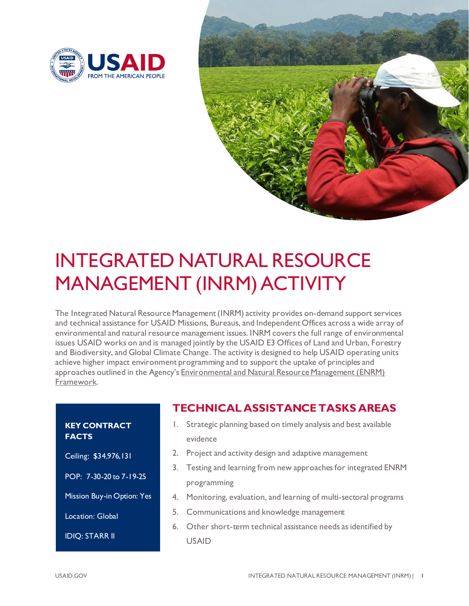



# INTEGRATED NATURAL RESOURCE MANAGEMENT (INRM) ACTIVITY

The Integrated Natural Resource Management (INRM) activity provides on-demand support services and technical assistance for USAID Missions, Bureaus, and Independent Offices across a wide array of environmental and natural resource management issues. INRM covers the full range of environmental issues USAID works on and is managed jointly by the USAID E3 Offices of Land and Urban, Forestry and Biodiversity, and Global Climate Change. The activity is designed to help USAID operating units achieve higher impact environment programming and to support the uptake of principles and approaches outlined in the Agency's [Environmental and Natural Resource Management](https://www.usaid.gov/what-we-do/environment-and-global-climate-change/enrm-framework) (ENRM) [Framework.](https://www.usaid.gov/what-we-do/environment-and-global-climate-change/enrm-framework)

## **KEY CONTRACT FACTS**

## Ceiling: \$34,976,131

POP: 7-30-20 to 7-19-25

Mission Buy-in Option: Yes

Location: Global

IDIQ: STARR II

- **TECHNICAL ASSISTANCE TASKS AREAS**
- 1. Strategic planning based on timely analysis and best available evidence
- 2. Project and activity design and adaptive management
- 3. Testing and learning from new approaches for integrated ENRM programming
- 4. Monitoring, evaluation, and learning of multi-sectoral programs
- 5. Communications and knowledge management
- 6. Other short-term technical assistance needs as identified by USAID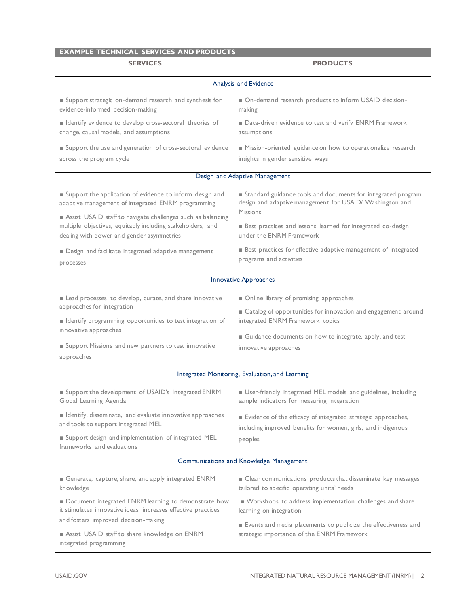## **EXAMPLE TECHNICAL SERVICES AND PRODUCTS**

### **SERVICES PRODUCTS** Analysis and Evidence ■ Support strategic on-demand research and synthesis for evidence-informed decision-making ■ Identify evidence to develop cross-sectoral theories of change, causal models, and assumptions ■ Support the use and generation of cross-sectoral evidence across the program cycle ■ On-demand research products to inform USAID decisionmaking ■ Data-driven evidence to test and verify ENRM Framework assumptions ■ Mission-oriented guidance on how to operationalize research insights in gender sensitive ways Design and Adaptive Management ■ Support the application of evidence to inform design and adaptive management of integrated ENRM programming ■ Assist USAID staff to navigate challenges such as balancing multiple objectives, equitably including stakeholders, and dealing with power and gender asymmetries ■ Design and facilitate integrated adaptive management processes ■ Standard guidance tools and documents for integrated program design and adaptive management for USAID/ Washington and Missions ■ Best practices and lessons learned for integrated co-design under the ENRM Framework ■ Best practices for effective adaptive management of integrated programs and activities Innovative Approaches ■ Lead processes to develop, curate, and share innovative approaches for integration ■ Identify programming opportunities to test integration of innovative approaches ■ Support Missions and new partners to test innovative approaches ■ Online library of promising approaches ■ Catalog of opportunities for innovation and engagement around integrated ENRM Framework topics ■ Guidance documents on how to integrate, apply, and test innovative approaches Integrated Monitoring, Evaluation, and Learning ■ Support the development of USAID's Integrated ENRM Global Learning Agenda ■ Identify, disseminate, and evaluate innovative approaches and tools to support integrated MEL ■ Support design and implementation of integrated MEL frameworks and evaluations ■ User-friendly integrated MEL models and guidelines, including sample indicators for measuring integration ■ Evidence of the efficacy of integrated strategic approaches, including improved benefits for women, girls, and indigenous peoples Communications and Knowledge Management ■ Generate, capture, share, and apply integrated ENRM knowledge ■ Document integrated ENRM learning to demonstrate how it stimulates innovative ideas, increases effective practices, and fosters improved decision-making ■ Assist USAID staff to share knowledge on ENRM integrated programming ■ Clear communications products that disseminate key messages tailored to specific operating units' needs ■ Workshops to address implementation challenges and share learning on integration ■ Events and media placements to publicize the effectiveness and strategic importance of the ENRM Framework